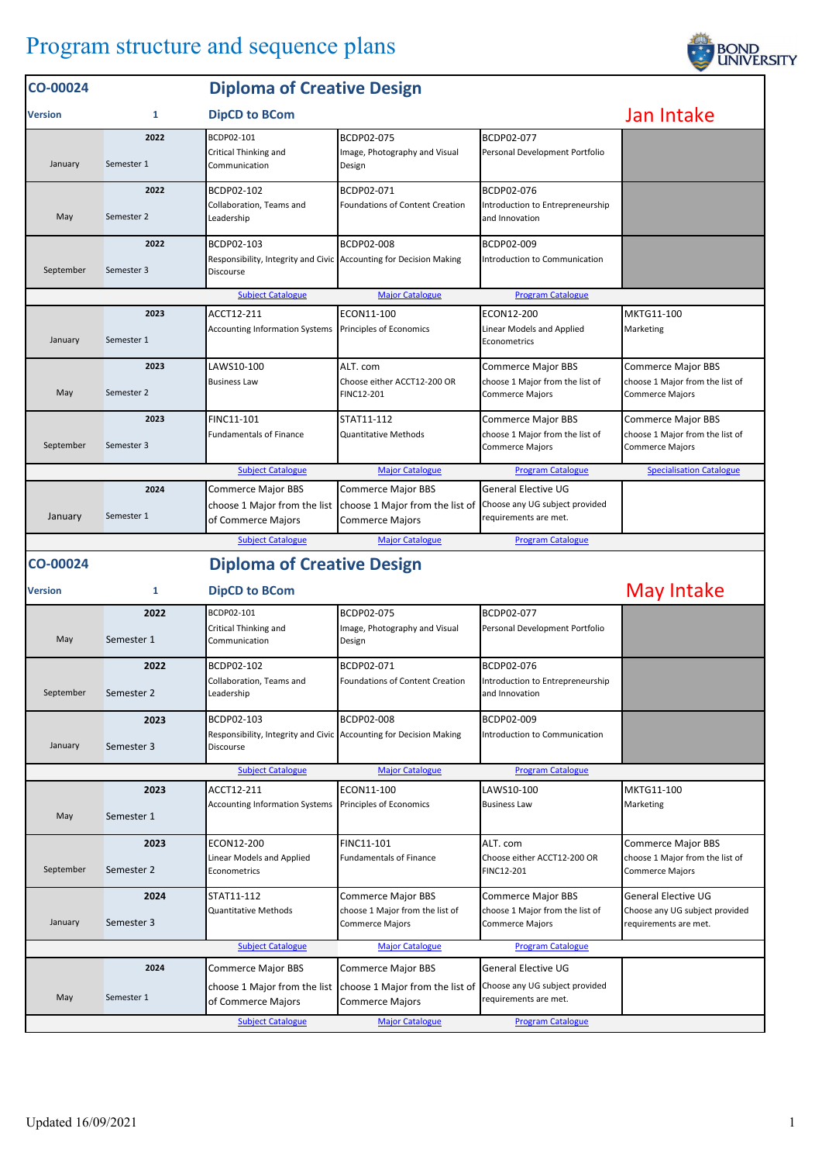## Program structure and sequence plans

| <b>DipCD to BCom</b><br>1<br>2022<br>BCDP02-101<br>BCDP02-075<br>BCDP02-077<br>Critical Thinking and<br>Image, Photography and Visual<br>Personal Development Portfolio<br>January<br>Semester 1<br>Communication<br>Design<br>BCDP02-071<br>BCDP02-076<br>2022<br>BCDP02-102<br>Collaboration, Teams and<br><b>Foundations of Content Creation</b><br>Introduction to Entrepreneurship<br>May<br>Semester 2<br>Leadership<br>and Innovation<br>2022<br>BCDP02-008<br>BCDP02-103<br>BCDP02-009<br>Responsibility, Integrity and Civic Accounting for Decision Making<br>Introduction to Communication<br>September<br>Semester 3<br>Discourse<br><b>Subject Catalogue</b><br><b>Major Catalogue</b><br><b>Program Catalogue</b><br>MKTG11-100<br>2023<br>ACCT12-211<br>ECON11-100<br>ECON12-200<br><b>Accounting Information Systems</b><br>Principles of Economics<br><b>Linear Models and Applied</b><br>Marketing<br>January<br>Semester 1<br>Econometrics<br>2023<br>LAWS10-100<br>ALT. com<br><b>Commerce Major BBS</b><br>Choose either ACCT12-200 OR<br>choose 1 Major from the list of<br><b>Business Law</b><br>May<br>Semester 2<br>FINC12-201<br><b>Commerce Majors</b><br>2023<br>FINC11-101<br>STAT11-112<br>Commerce Major BBS<br><b>Fundamentals of Finance</b><br><b>Quantitative Methods</b><br>choose 1 Major from the list of<br>September<br>Semester 3<br><b>Commerce Majors</b><br><b>Subject Catalogue</b><br><b>Major Catalogue</b><br><b>Program Catalogue</b><br><b>General Elective UG</b><br>2024<br>Commerce Major BBS<br><b>Commerce Major BBS</b><br>Choose any UG subject provided<br>choose 1 Major from the list<br>choose 1 Major from the list of<br>January<br>Semester 1<br>requirements are met.<br>of Commerce Majors<br>Commerce Majors<br><b>Subject Catalogue</b><br><b>Major Catalogue</b><br><b>Program Catalogue</b><br><b>Diploma of Creative Design</b><br><b>DipCD to BCom</b><br>1<br>BCDP02-075<br>BCDP02-077<br>2022<br>BCDP02-101<br>Critical Thinking and<br>Image, Photography and Visual<br>Personal Development Portfolio<br>May<br>Semester 1<br>Communication<br>Design<br>BCDP02-102<br>BCDP02-076<br>2022<br>BCDP02-071<br>Collaboration, Teams and<br>Foundations of Content Creation<br>Introduction to Entrepreneurship<br>September<br>Semester 2<br>Leadership<br>and Innovation<br>2023<br>BCDP02-103<br>BCDP02-008<br>BCDP02-009<br>Responsibility, Integrity and Civic Accounting for Decision Making<br>Introduction to Communication<br>January<br>Semester 3<br>Discourse<br><b>Subject Catalogue</b><br><b>Major Catalogue</b><br><b>Program Catalogue</b><br>ECON11-100<br>MKTG11-100<br>2023<br>ACCT12-211<br>LAWS10-100<br><b>Accounting Information Systems</b><br>Principles of Economics<br>Marketing<br><b>Business Law</b><br>May<br>Semester 1<br>2023<br>ECON12-200<br>FINC11-101<br>ALT. com<br>Linear Models and Applied<br><b>Fundamentals of Finance</b><br>Choose either ACCT12-200 OR<br>September<br>Semester 2<br>FINC12-201<br>Econometrics<br>2024<br>STAT11-112<br><b>Commerce Major BBS</b><br><b>Commerce Major BBS</b><br><b>Quantitative Methods</b><br>choose 1 Major from the list of<br>choose 1 Major from the list of<br>January<br>Semester 3<br>Commerce Majors<br>Commerce Majors<br><b>Subject Catalogue</b><br><b>Major Catalogue</b><br><b>Program Catalogue</b><br>2024<br><b>General Elective UG</b><br>Commerce Major BBS<br><b>Commerce Major BBS</b><br>Choose any UG subject provided<br>choose 1 Major from the list<br>choose 1 Major from the list of<br>May<br>Semester 1<br>requirements are met.<br>of Commerce Majors<br><b>Commerce Majors</b> | CO-00024       | <b>Diploma of Creative Design</b> |            |                                                                                        |
|---------------------------------------------------------------------------------------------------------------------------------------------------------------------------------------------------------------------------------------------------------------------------------------------------------------------------------------------------------------------------------------------------------------------------------------------------------------------------------------------------------------------------------------------------------------------------------------------------------------------------------------------------------------------------------------------------------------------------------------------------------------------------------------------------------------------------------------------------------------------------------------------------------------------------------------------------------------------------------------------------------------------------------------------------------------------------------------------------------------------------------------------------------------------------------------------------------------------------------------------------------------------------------------------------------------------------------------------------------------------------------------------------------------------------------------------------------------------------------------------------------------------------------------------------------------------------------------------------------------------------------------------------------------------------------------------------------------------------------------------------------------------------------------------------------------------------------------------------------------------------------------------------------------------------------------------------------------------------------------------------------------------------------------------------------------------------------------------------------------------------------------------------------------------------------------------------------------------------------------------------------------------------------------------------------------------------------------------------------------------------------------------------------------------------------------------------------------------------------------------------------------------------------------------------------------------------------------------------------------------------------------------------------------------------------------------------------------------------------------------------------------------------------------------------------------------------------------------------------------------------------------------------------------------------------------------------------------------------------------------------------------------------------------------------------------------------------------------------------------------------------------------------------------------------------------------------------------------------------------------------------------------------------------------------------------------------------------------------------------------------------------------------------------------------------------------------------------------------------------------------------------------------------------------------------------------------------------------------------------------------------------------------------------------------|----------------|-----------------------------------|------------|----------------------------------------------------------------------------------------|
|                                                                                                                                                                                                                                                                                                                                                                                                                                                                                                                                                                                                                                                                                                                                                                                                                                                                                                                                                                                                                                                                                                                                                                                                                                                                                                                                                                                                                                                                                                                                                                                                                                                                                                                                                                                                                                                                                                                                                                                                                                                                                                                                                                                                                                                                                                                                                                                                                                                                                                                                                                                                                                                                                                                                                                                                                                                                                                                                                                                                                                                                                                                                                                                                                                                                                                                                                                                                                                                                                                                                                                                                                                                                           | <b>Version</b> |                                   | Jan Intake |                                                                                        |
|                                                                                                                                                                                                                                                                                                                                                                                                                                                                                                                                                                                                                                                                                                                                                                                                                                                                                                                                                                                                                                                                                                                                                                                                                                                                                                                                                                                                                                                                                                                                                                                                                                                                                                                                                                                                                                                                                                                                                                                                                                                                                                                                                                                                                                                                                                                                                                                                                                                                                                                                                                                                                                                                                                                                                                                                                                                                                                                                                                                                                                                                                                                                                                                                                                                                                                                                                                                                                                                                                                                                                                                                                                                                           |                |                                   |            |                                                                                        |
|                                                                                                                                                                                                                                                                                                                                                                                                                                                                                                                                                                                                                                                                                                                                                                                                                                                                                                                                                                                                                                                                                                                                                                                                                                                                                                                                                                                                                                                                                                                                                                                                                                                                                                                                                                                                                                                                                                                                                                                                                                                                                                                                                                                                                                                                                                                                                                                                                                                                                                                                                                                                                                                                                                                                                                                                                                                                                                                                                                                                                                                                                                                                                                                                                                                                                                                                                                                                                                                                                                                                                                                                                                                                           |                |                                   |            |                                                                                        |
|                                                                                                                                                                                                                                                                                                                                                                                                                                                                                                                                                                                                                                                                                                                                                                                                                                                                                                                                                                                                                                                                                                                                                                                                                                                                                                                                                                                                                                                                                                                                                                                                                                                                                                                                                                                                                                                                                                                                                                                                                                                                                                                                                                                                                                                                                                                                                                                                                                                                                                                                                                                                                                                                                                                                                                                                                                                                                                                                                                                                                                                                                                                                                                                                                                                                                                                                                                                                                                                                                                                                                                                                                                                                           |                |                                   |            |                                                                                        |
|                                                                                                                                                                                                                                                                                                                                                                                                                                                                                                                                                                                                                                                                                                                                                                                                                                                                                                                                                                                                                                                                                                                                                                                                                                                                                                                                                                                                                                                                                                                                                                                                                                                                                                                                                                                                                                                                                                                                                                                                                                                                                                                                                                                                                                                                                                                                                                                                                                                                                                                                                                                                                                                                                                                                                                                                                                                                                                                                                                                                                                                                                                                                                                                                                                                                                                                                                                                                                                                                                                                                                                                                                                                                           |                |                                   |            |                                                                                        |
|                                                                                                                                                                                                                                                                                                                                                                                                                                                                                                                                                                                                                                                                                                                                                                                                                                                                                                                                                                                                                                                                                                                                                                                                                                                                                                                                                                                                                                                                                                                                                                                                                                                                                                                                                                                                                                                                                                                                                                                                                                                                                                                                                                                                                                                                                                                                                                                                                                                                                                                                                                                                                                                                                                                                                                                                                                                                                                                                                                                                                                                                                                                                                                                                                                                                                                                                                                                                                                                                                                                                                                                                                                                                           |                |                                   |            |                                                                                        |
|                                                                                                                                                                                                                                                                                                                                                                                                                                                                                                                                                                                                                                                                                                                                                                                                                                                                                                                                                                                                                                                                                                                                                                                                                                                                                                                                                                                                                                                                                                                                                                                                                                                                                                                                                                                                                                                                                                                                                                                                                                                                                                                                                                                                                                                                                                                                                                                                                                                                                                                                                                                                                                                                                                                                                                                                                                                                                                                                                                                                                                                                                                                                                                                                                                                                                                                                                                                                                                                                                                                                                                                                                                                                           |                |                                   |            |                                                                                        |
|                                                                                                                                                                                                                                                                                                                                                                                                                                                                                                                                                                                                                                                                                                                                                                                                                                                                                                                                                                                                                                                                                                                                                                                                                                                                                                                                                                                                                                                                                                                                                                                                                                                                                                                                                                                                                                                                                                                                                                                                                                                                                                                                                                                                                                                                                                                                                                                                                                                                                                                                                                                                                                                                                                                                                                                                                                                                                                                                                                                                                                                                                                                                                                                                                                                                                                                                                                                                                                                                                                                                                                                                                                                                           |                |                                   |            | <b>Commerce Major BBS</b><br>choose 1 Major from the list of<br><b>Commerce Majors</b> |
|                                                                                                                                                                                                                                                                                                                                                                                                                                                                                                                                                                                                                                                                                                                                                                                                                                                                                                                                                                                                                                                                                                                                                                                                                                                                                                                                                                                                                                                                                                                                                                                                                                                                                                                                                                                                                                                                                                                                                                                                                                                                                                                                                                                                                                                                                                                                                                                                                                                                                                                                                                                                                                                                                                                                                                                                                                                                                                                                                                                                                                                                                                                                                                                                                                                                                                                                                                                                                                                                                                                                                                                                                                                                           |                |                                   |            | <b>Commerce Major BBS</b><br>choose 1 Major from the list of<br><b>Commerce Majors</b> |
|                                                                                                                                                                                                                                                                                                                                                                                                                                                                                                                                                                                                                                                                                                                                                                                                                                                                                                                                                                                                                                                                                                                                                                                                                                                                                                                                                                                                                                                                                                                                                                                                                                                                                                                                                                                                                                                                                                                                                                                                                                                                                                                                                                                                                                                                                                                                                                                                                                                                                                                                                                                                                                                                                                                                                                                                                                                                                                                                                                                                                                                                                                                                                                                                                                                                                                                                                                                                                                                                                                                                                                                                                                                                           |                |                                   |            | <b>Specialisation Catalogue</b>                                                        |
|                                                                                                                                                                                                                                                                                                                                                                                                                                                                                                                                                                                                                                                                                                                                                                                                                                                                                                                                                                                                                                                                                                                                                                                                                                                                                                                                                                                                                                                                                                                                                                                                                                                                                                                                                                                                                                                                                                                                                                                                                                                                                                                                                                                                                                                                                                                                                                                                                                                                                                                                                                                                                                                                                                                                                                                                                                                                                                                                                                                                                                                                                                                                                                                                                                                                                                                                                                                                                                                                                                                                                                                                                                                                           |                |                                   |            |                                                                                        |
| CO-00024<br>Version                                                                                                                                                                                                                                                                                                                                                                                                                                                                                                                                                                                                                                                                                                                                                                                                                                                                                                                                                                                                                                                                                                                                                                                                                                                                                                                                                                                                                                                                                                                                                                                                                                                                                                                                                                                                                                                                                                                                                                                                                                                                                                                                                                                                                                                                                                                                                                                                                                                                                                                                                                                                                                                                                                                                                                                                                                                                                                                                                                                                                                                                                                                                                                                                                                                                                                                                                                                                                                                                                                                                                                                                                                                       |                |                                   |            |                                                                                        |
|                                                                                                                                                                                                                                                                                                                                                                                                                                                                                                                                                                                                                                                                                                                                                                                                                                                                                                                                                                                                                                                                                                                                                                                                                                                                                                                                                                                                                                                                                                                                                                                                                                                                                                                                                                                                                                                                                                                                                                                                                                                                                                                                                                                                                                                                                                                                                                                                                                                                                                                                                                                                                                                                                                                                                                                                                                                                                                                                                                                                                                                                                                                                                                                                                                                                                                                                                                                                                                                                                                                                                                                                                                                                           |                |                                   |            |                                                                                        |
|                                                                                                                                                                                                                                                                                                                                                                                                                                                                                                                                                                                                                                                                                                                                                                                                                                                                                                                                                                                                                                                                                                                                                                                                                                                                                                                                                                                                                                                                                                                                                                                                                                                                                                                                                                                                                                                                                                                                                                                                                                                                                                                                                                                                                                                                                                                                                                                                                                                                                                                                                                                                                                                                                                                                                                                                                                                                                                                                                                                                                                                                                                                                                                                                                                                                                                                                                                                                                                                                                                                                                                                                                                                                           |                |                                   |            | May Intake                                                                             |
|                                                                                                                                                                                                                                                                                                                                                                                                                                                                                                                                                                                                                                                                                                                                                                                                                                                                                                                                                                                                                                                                                                                                                                                                                                                                                                                                                                                                                                                                                                                                                                                                                                                                                                                                                                                                                                                                                                                                                                                                                                                                                                                                                                                                                                                                                                                                                                                                                                                                                                                                                                                                                                                                                                                                                                                                                                                                                                                                                                                                                                                                                                                                                                                                                                                                                                                                                                                                                                                                                                                                                                                                                                                                           |                |                                   |            |                                                                                        |
|                                                                                                                                                                                                                                                                                                                                                                                                                                                                                                                                                                                                                                                                                                                                                                                                                                                                                                                                                                                                                                                                                                                                                                                                                                                                                                                                                                                                                                                                                                                                                                                                                                                                                                                                                                                                                                                                                                                                                                                                                                                                                                                                                                                                                                                                                                                                                                                                                                                                                                                                                                                                                                                                                                                                                                                                                                                                                                                                                                                                                                                                                                                                                                                                                                                                                                                                                                                                                                                                                                                                                                                                                                                                           |                |                                   |            |                                                                                        |
|                                                                                                                                                                                                                                                                                                                                                                                                                                                                                                                                                                                                                                                                                                                                                                                                                                                                                                                                                                                                                                                                                                                                                                                                                                                                                                                                                                                                                                                                                                                                                                                                                                                                                                                                                                                                                                                                                                                                                                                                                                                                                                                                                                                                                                                                                                                                                                                                                                                                                                                                                                                                                                                                                                                                                                                                                                                                                                                                                                                                                                                                                                                                                                                                                                                                                                                                                                                                                                                                                                                                                                                                                                                                           |                |                                   |            |                                                                                        |
|                                                                                                                                                                                                                                                                                                                                                                                                                                                                                                                                                                                                                                                                                                                                                                                                                                                                                                                                                                                                                                                                                                                                                                                                                                                                                                                                                                                                                                                                                                                                                                                                                                                                                                                                                                                                                                                                                                                                                                                                                                                                                                                                                                                                                                                                                                                                                                                                                                                                                                                                                                                                                                                                                                                                                                                                                                                                                                                                                                                                                                                                                                                                                                                                                                                                                                                                                                                                                                                                                                                                                                                                                                                                           |                |                                   |            |                                                                                        |
|                                                                                                                                                                                                                                                                                                                                                                                                                                                                                                                                                                                                                                                                                                                                                                                                                                                                                                                                                                                                                                                                                                                                                                                                                                                                                                                                                                                                                                                                                                                                                                                                                                                                                                                                                                                                                                                                                                                                                                                                                                                                                                                                                                                                                                                                                                                                                                                                                                                                                                                                                                                                                                                                                                                                                                                                                                                                                                                                                                                                                                                                                                                                                                                                                                                                                                                                                                                                                                                                                                                                                                                                                                                                           |                |                                   |            |                                                                                        |
|                                                                                                                                                                                                                                                                                                                                                                                                                                                                                                                                                                                                                                                                                                                                                                                                                                                                                                                                                                                                                                                                                                                                                                                                                                                                                                                                                                                                                                                                                                                                                                                                                                                                                                                                                                                                                                                                                                                                                                                                                                                                                                                                                                                                                                                                                                                                                                                                                                                                                                                                                                                                                                                                                                                                                                                                                                                                                                                                                                                                                                                                                                                                                                                                                                                                                                                                                                                                                                                                                                                                                                                                                                                                           |                |                                   |            |                                                                                        |
|                                                                                                                                                                                                                                                                                                                                                                                                                                                                                                                                                                                                                                                                                                                                                                                                                                                                                                                                                                                                                                                                                                                                                                                                                                                                                                                                                                                                                                                                                                                                                                                                                                                                                                                                                                                                                                                                                                                                                                                                                                                                                                                                                                                                                                                                                                                                                                                                                                                                                                                                                                                                                                                                                                                                                                                                                                                                                                                                                                                                                                                                                                                                                                                                                                                                                                                                                                                                                                                                                                                                                                                                                                                                           |                |                                   |            | <b>Commerce Major BBS</b><br>choose 1 Major from the list of<br><b>Commerce Majors</b> |
|                                                                                                                                                                                                                                                                                                                                                                                                                                                                                                                                                                                                                                                                                                                                                                                                                                                                                                                                                                                                                                                                                                                                                                                                                                                                                                                                                                                                                                                                                                                                                                                                                                                                                                                                                                                                                                                                                                                                                                                                                                                                                                                                                                                                                                                                                                                                                                                                                                                                                                                                                                                                                                                                                                                                                                                                                                                                                                                                                                                                                                                                                                                                                                                                                                                                                                                                                                                                                                                                                                                                                                                                                                                                           |                |                                   |            | <b>General Elective UG</b>                                                             |
|                                                                                                                                                                                                                                                                                                                                                                                                                                                                                                                                                                                                                                                                                                                                                                                                                                                                                                                                                                                                                                                                                                                                                                                                                                                                                                                                                                                                                                                                                                                                                                                                                                                                                                                                                                                                                                                                                                                                                                                                                                                                                                                                                                                                                                                                                                                                                                                                                                                                                                                                                                                                                                                                                                                                                                                                                                                                                                                                                                                                                                                                                                                                                                                                                                                                                                                                                                                                                                                                                                                                                                                                                                                                           |                |                                   |            | Choose any UG subject provided<br>requirements are met.                                |
|                                                                                                                                                                                                                                                                                                                                                                                                                                                                                                                                                                                                                                                                                                                                                                                                                                                                                                                                                                                                                                                                                                                                                                                                                                                                                                                                                                                                                                                                                                                                                                                                                                                                                                                                                                                                                                                                                                                                                                                                                                                                                                                                                                                                                                                                                                                                                                                                                                                                                                                                                                                                                                                                                                                                                                                                                                                                                                                                                                                                                                                                                                                                                                                                                                                                                                                                                                                                                                                                                                                                                                                                                                                                           |                |                                   |            |                                                                                        |
|                                                                                                                                                                                                                                                                                                                                                                                                                                                                                                                                                                                                                                                                                                                                                                                                                                                                                                                                                                                                                                                                                                                                                                                                                                                                                                                                                                                                                                                                                                                                                                                                                                                                                                                                                                                                                                                                                                                                                                                                                                                                                                                                                                                                                                                                                                                                                                                                                                                                                                                                                                                                                                                                                                                                                                                                                                                                                                                                                                                                                                                                                                                                                                                                                                                                                                                                                                                                                                                                                                                                                                                                                                                                           |                |                                   |            |                                                                                        |
| <b>Subject Catalogue</b><br><b>Major Catalogue</b><br><b>Program Catalogue</b>                                                                                                                                                                                                                                                                                                                                                                                                                                                                                                                                                                                                                                                                                                                                                                                                                                                                                                                                                                                                                                                                                                                                                                                                                                                                                                                                                                                                                                                                                                                                                                                                                                                                                                                                                                                                                                                                                                                                                                                                                                                                                                                                                                                                                                                                                                                                                                                                                                                                                                                                                                                                                                                                                                                                                                                                                                                                                                                                                                                                                                                                                                                                                                                                                                                                                                                                                                                                                                                                                                                                                                                            |                |                                   |            |                                                                                        |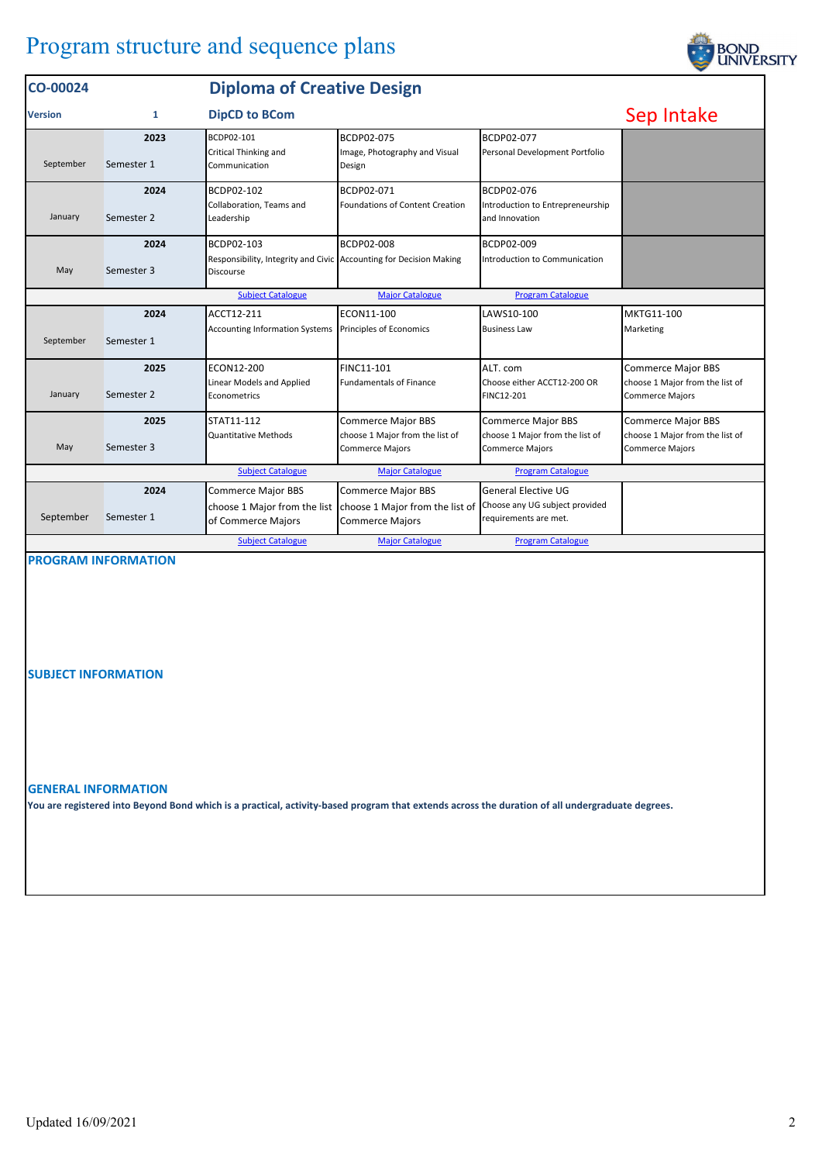| CO-00024       |            | <b>Diploma of Creative Design</b>                                               |                                                           |                                                           |                                                           |
|----------------|------------|---------------------------------------------------------------------------------|-----------------------------------------------------------|-----------------------------------------------------------|-----------------------------------------------------------|
| <b>Version</b> | 1          | <b>DipCD to BCom</b>                                                            |                                                           |                                                           | Sep Intake                                                |
|                | 2023       | BCDP02-101                                                                      | BCDP02-075                                                | BCDP02-077                                                |                                                           |
| September      | Semester 1 | Critical Thinking and<br>Communication                                          | Image, Photography and Visual<br>Design                   | Personal Development Portfolio                            |                                                           |
|                | 2024       | BCDP02-102                                                                      | BCDP02-071                                                | BCDP02-076                                                |                                                           |
| January        | Semester 2 | Collaboration, Teams and<br>Leadership                                          | <b>Foundations of Content Creation</b>                    | Introduction to Entrepreneurship<br>and Innovation        |                                                           |
|                | 2024       | BCDP02-103                                                                      | <b>BCDP02-008</b>                                         | BCDP02-009                                                |                                                           |
| May            | Semester 3 | Responsibility, Integrity and Civic Accounting for Decision Making<br>Discourse |                                                           | Introduction to Communication                             |                                                           |
|                |            | <b>Subject Catalogue</b>                                                        | <b>Major Catalogue</b>                                    | <b>Program Catalogue</b>                                  |                                                           |
|                | 2024       | ACCT12-211                                                                      | ECON11-100                                                | LAWS10-100                                                | MKTG11-100                                                |
| September      | Semester 1 | <b>Accounting Information Systems</b>                                           | Principles of Economics                                   | <b>Business Law</b>                                       | Marketing                                                 |
|                | 2025       | ECON12-200                                                                      | <b>FINC11-101</b>                                         | ALT. com                                                  | <b>Commerce Major BBS</b>                                 |
| January        | Semester 2 | Linear Models and Applied<br>Econometrics                                       | <b>Fundamentals of Finance</b>                            | Choose either ACCT12-200 OR<br>FINC12-201                 | choose 1 Major from the list of<br><b>Commerce Majors</b> |
|                | 2025       | STAT11-112                                                                      | <b>Commerce Major BBS</b>                                 | <b>Commerce Major BBS</b>                                 | <b>Commerce Major BBS</b>                                 |
| May            | Semester 3 | Quantitative Methods                                                            | choose 1 Major from the list of<br><b>Commerce Majors</b> | choose 1 Major from the list of<br><b>Commerce Majors</b> | choose 1 Major from the list of<br><b>Commerce Majors</b> |
|                |            | <b>Subject Catalogue</b>                                                        | <b>Major Catalogue</b>                                    | <b>Program Catalogue</b>                                  |                                                           |
|                | 2024       | <b>Commerce Major BBS</b>                                                       | <b>Commerce Major BBS</b>                                 | <b>General Elective UG</b>                                |                                                           |
| September      | Semester 1 | choose 1 Major from the list<br>of Commerce Majors                              | choose 1 Major from the list of<br><b>Commerce Majors</b> | Choose any UG subject provided<br>requirements are met.   |                                                           |
|                |            | <b>Subiect Catalogue</b>                                                        | <b>Major Catalogue</b>                                    | <b>Program Catalogue</b>                                  |                                                           |

## **PROGRAM INFORMATION**

**SUBJECT INFORMATION**

**GENERAL INFORMATION**

**You are registered into Beyond Bond which is a practical, activity-based program that extends across the duration of all undergraduate degrees.**